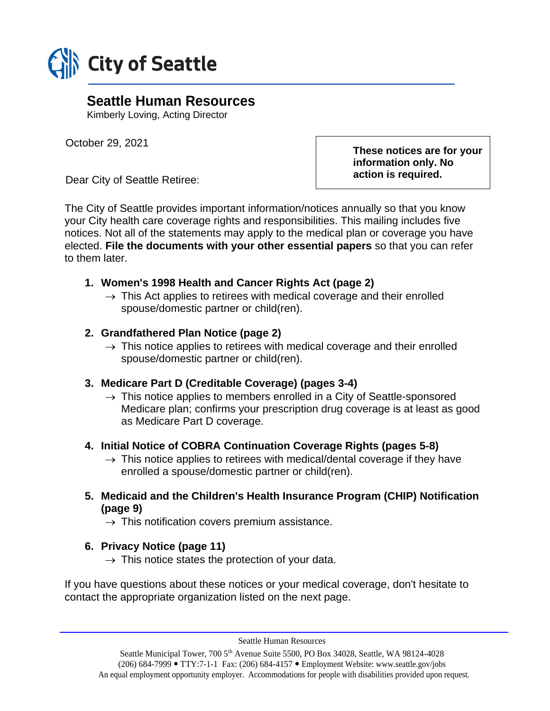

# **Seattle Human Resources**

Kimberly Loving, Acting Director

October 29, 2021

Dear City of Seattle Retiree:

**These notices are for your information only. No action is required.**

The City of Seattle provides important information/notices annually so that you know your City health care coverage rights and responsibilities. This mailing includes five notices. Not all of the statements may apply to the medical plan or coverage you have elected. **File the documents with your other essential papers** so that you can refer to them later.

# **1. Women's 1998 Health and Cancer Rights Act (page 2)**

 $\rightarrow$  This Act applies to retirees with medical coverage and their enrolled spouse/domestic partner or child(ren).

# **2. Grandfathered Plan Notice (page 2)**

 $\rightarrow$  This notice applies to retirees with medical coverage and their enrolled spouse/domestic partner or child(ren).

# **3. Medicare Part D (Creditable Coverage) (pages 3-4)**

 $\rightarrow$  This notice applies to members enrolled in a City of Seattle-sponsored Medicare plan; confirms your prescription drug coverage is at least as good as Medicare Part D coverage.

# **4. Initial Notice of COBRA Continuation Coverage Rights (pages 5-8)**

- $\rightarrow$  This notice applies to retirees with medical/dental coverage if they have enrolled a spouse/domestic partner or child(ren).
- **5. Medicaid and the Children's Health Insurance Program (CHIP) Notification (page 9)**
	- $\rightarrow$  This notification covers premium assistance.

# **6. Privacy Notice (page 11)**

 $\rightarrow$  This notice states the protection of your data.

If you have questions about these notices or your medical coverage, don't hesitate to contact the appropriate organization listed on the next page.

Seattle Human Resources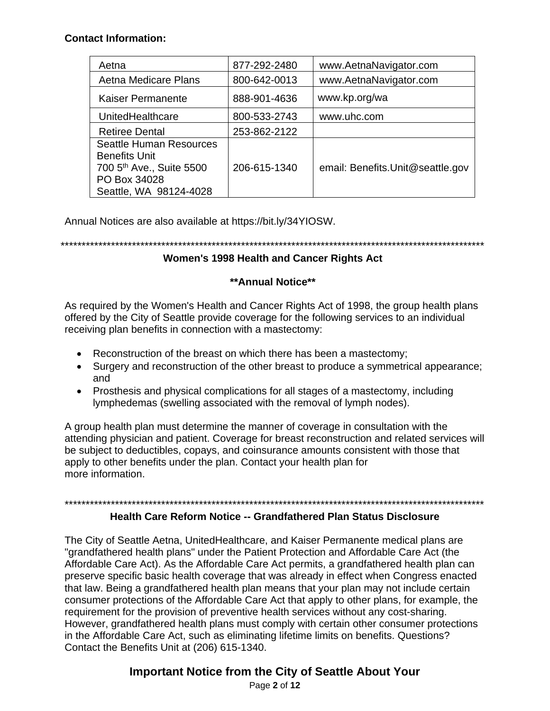#### **Contact Information:**

| Aetna                                                                                                                                    | 877-292-2480 | www.AetnaNavigator.com           |
|------------------------------------------------------------------------------------------------------------------------------------------|--------------|----------------------------------|
| Aetna Medicare Plans                                                                                                                     | 800-642-0013 | www.AetnaNavigator.com           |
| <b>Kaiser Permanente</b>                                                                                                                 | 888-901-4636 | www.kp.org/wa                    |
| UnitedHealthcare                                                                                                                         | 800-533-2743 | www.uhc.com                      |
| <b>Retiree Dental</b>                                                                                                                    | 253-862-2122 |                                  |
| <b>Seattle Human Resources</b><br><b>Benefits Unit</b><br>700 5 <sup>th</sup> Ave., Suite 5500<br>PO Box 34028<br>Seattle, WA 98124-4028 | 206-615-1340 | email: Benefits.Unit@seattle.gov |

Annual Notices are also available at https://bit.ly/34YIOSW.

\*\*\*\*\*\*\*\*\*\*\*\*\*\*\*\*\*\*\*\*\*\*\*\*\*\*\*\*\*\*\*\*\*\*\*\*\*\*\*\*\*\*\*\*\*\*\*\*\*\*\*\*\*\*\*\*\*\*\*\*\*\*\*\*\*\*\*\*\*\*\*\*\*\*\*\*\*\*\*\*\*\*\*\*\*\*\*\*\*\*\*\*\*\*\*\*\*\*\*\*\*

# **Women's 1998 Health and Cancer Rights Act**

# **\*\*Annual Notice\*\***

As required by the Women's Health and Cancer Rights Act of 1998, the group health plans offered by the City of Seattle provide coverage for the following services to an individual receiving plan benefits in connection with a mastectomy:

- Reconstruction of the breast on which there has been a mastectomy;
- Surgery and reconstruction of the other breast to produce a symmetrical appearance; and
- Prosthesis and physical complications for all stages of a mastectomy, including lymphedemas (swelling associated with the removal of lymph nodes).

A group health plan must determine the manner of coverage in consultation with the attending physician and patient. Coverage for breast reconstruction and related services will be subject to deductibles, copays, and coinsurance amounts consistent with those that apply to other benefits under the plan. Contact your health plan for more information.

# \*\*\*\*\*\*\*\*\*\*\*\*\*\*\*\*\*\*\*\*\*\*\*\*\*\*\*\*\*\*\*\*\*\*\*\*\*\*\*\*\*\*\*\*\*\*\*\*\*\*\*\*\*\*\*\*\*\*\*\*\*\*\*\*\*\*\*\*\*\*\*\*\*\*\*\*\*\*\*\*\*\*\*\*\*\*\*\*\*\*\*\*\*\*\*\*\*\*\*\*

#### **Health Care Reform Notice -- Grandfathered Plan Status Disclosure**

The City of Seattle Aetna, UnitedHealthcare, and Kaiser Permanente medical plans are "grandfathered health plans" under the Patient Protection and Affordable Care Act (the Affordable Care Act). As the Affordable Care Act permits, a grandfathered health plan can preserve specific basic health coverage that was already in effect when Congress enacted that law. Being a grandfathered health plan means that your plan may not include certain consumer protections of the Affordable Care Act that apply to other plans, for example, the requirement for the provision of preventive health services without any cost-sharing. However, grandfathered health plans must comply with certain other consumer protections in the Affordable Care Act, such as eliminating lifetime limits on benefits. Questions? Contact the Benefits Unit at (206) 615-1340.

# **Important Notice from the City of Seattle About Your**

Page **2** of **12**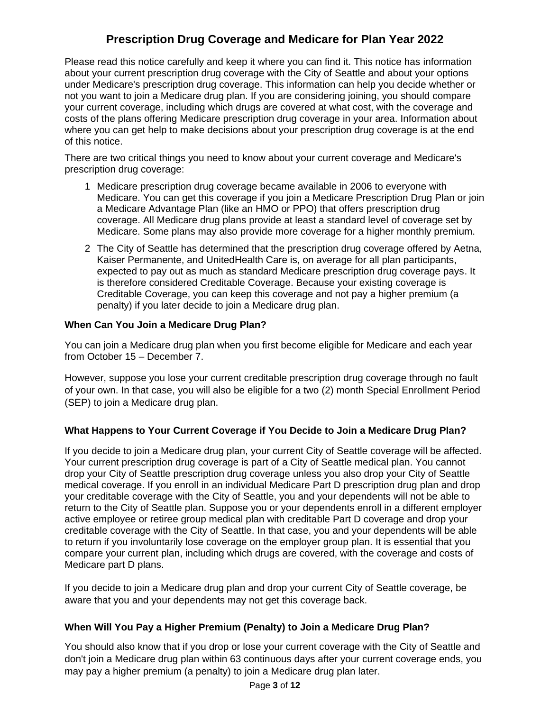# **Prescription Drug Coverage and Medicare for Plan Year 2022**

Please read this notice carefully and keep it where you can find it. This notice has information about your current prescription drug coverage with the City of Seattle and about your options under Medicare's prescription drug coverage. This information can help you decide whether or not you want to join a Medicare drug plan. If you are considering joining, you should compare your current coverage, including which drugs are covered at what cost, with the coverage and costs of the plans offering Medicare prescription drug coverage in your area. Information about where you can get help to make decisions about your prescription drug coverage is at the end of this notice.

There are two critical things you need to know about your current coverage and Medicare's prescription drug coverage:

- 1 Medicare prescription drug coverage became available in 2006 to everyone with Medicare. You can get this coverage if you join a Medicare Prescription Drug Plan or join a Medicare Advantage Plan (like an HMO or PPO) that offers prescription drug coverage. All Medicare drug plans provide at least a standard level of coverage set by Medicare. Some plans may also provide more coverage for a higher monthly premium.
- 2 The City of Seattle has determined that the prescription drug coverage offered by Aetna, Kaiser Permanente, and UnitedHealth Care is, on average for all plan participants, expected to pay out as much as standard Medicare prescription drug coverage pays. It is therefore considered Creditable Coverage. Because your existing coverage is Creditable Coverage, you can keep this coverage and not pay a higher premium (a penalty) if you later decide to join a Medicare drug plan.

#### **When Can You Join a Medicare Drug Plan?**

You can join a Medicare drug plan when you first become eligible for Medicare and each year from October 15 – December 7.

However, suppose you lose your current creditable prescription drug coverage through no fault of your own. In that case, you will also be eligible for a two (2) month Special Enrollment Period (SEP) to join a Medicare drug plan.

# **What Happens to Your Current Coverage if You Decide to Join a Medicare Drug Plan?**

If you decide to join a Medicare drug plan, your current City of Seattle coverage will be affected. Your current prescription drug coverage is part of a City of Seattle medical plan. You cannot drop your City of Seattle prescription drug coverage unless you also drop your City of Seattle medical coverage. If you enroll in an individual Medicare Part D prescription drug plan and drop your creditable coverage with the City of Seattle, you and your dependents will not be able to return to the City of Seattle plan. Suppose you or your dependents enroll in a different employer active employee or retiree group medical plan with creditable Part D coverage and drop your creditable coverage with the City of Seattle. In that case, you and your dependents will be able to return if you involuntarily lose coverage on the employer group plan. It is essential that you compare your current plan, including which drugs are covered, with the coverage and costs of Medicare part D plans.

If you decide to join a Medicare drug plan and drop your current City of Seattle coverage, be aware that you and your dependents may not get this coverage back.

# **When Will You Pay a Higher Premium (Penalty) to Join a Medicare Drug Plan?**

You should also know that if you drop or lose your current coverage with the City of Seattle and don't join a Medicare drug plan within 63 continuous days after your current coverage ends, you may pay a higher premium (a penalty) to join a Medicare drug plan later.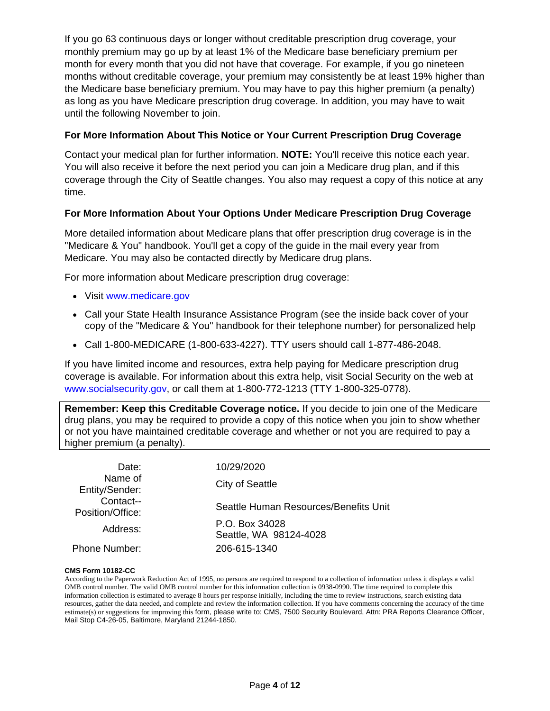If you go 63 continuous days or longer without creditable prescription drug coverage, your monthly premium may go up by at least 1% of the Medicare base beneficiary premium per month for every month that you did not have that coverage. For example, if you go nineteen months without creditable coverage, your premium may consistently be at least 19% higher than the Medicare base beneficiary premium. You may have to pay this higher premium (a penalty) as long as you have Medicare prescription drug coverage. In addition, you may have to wait until the following November to join.

#### **For More Information About This Notice or Your Current Prescription Drug Coverage**

Contact your medical plan for further information. **NOTE:** You'll receive this notice each year. You will also receive it before the next period you can join a Medicare drug plan, and if this coverage through the City of Seattle changes. You also may request a copy of this notice at any time.

#### **For More Information About Your Options Under Medicare Prescription Drug Coverage**

More detailed information about Medicare plans that offer prescription drug coverage is in the "Medicare & You" handbook. You'll get a copy of the guide in the mail every year from Medicare. You may also be contacted directly by Medicare drug plans.

For more information about Medicare prescription drug coverage:

- Visit www.medicare.gov
- Call your State Health Insurance Assistance Program (see the inside back cover of your copy of the "Medicare & You" handbook for their telephone number) for personalized help
- Call 1-800-MEDICARE (1-800-633-4227). TTY users should call 1-877-486-2048.

If you have limited income and resources, extra help paying for Medicare prescription drug coverage is available. For information about this extra help, visit Social Security on the web at [www.socialsecurity.gov](http://www.socialsecurity.go/), or call them at 1-800-772-1213 (TTY 1-800-325-0778).

**Remember: Keep this Creditable Coverage notice.** If you decide to join one of the Medicare drug plans, you may be required to provide a copy of this notice when you join to show whether or not you have maintained creditable coverage and whether or not you are required to pay a higher premium (a penalty).

| Date:<br>Name of<br>Entity/Sender: | 10/29/2020                               |  |
|------------------------------------|------------------------------------------|--|
|                                    | City of Seattle                          |  |
| Contact--<br>Position/Office:      | Seattle Human Resources/Benefits Unit    |  |
| Address:                           | P.O. Box 34028<br>Seattle, WA 98124-4028 |  |
| <b>Phone Number:</b>               | 206-615-1340                             |  |

#### **CMS Form 10182-CC**

According to the Paperwork Reduction Act of 1995, no persons are required to respond to a collection of information unless it displays a valid OMB control number. The valid OMB control number for this information collection is 0938-0990. The time required to complete this information collection is estimated to average 8 hours per response initially, including the time to review instructions, search existing data resources, gather the data needed, and complete and review the information collection. If you have comments concerning the accuracy of the time estimate(s) or suggestions for improving this form, please write to: CMS, 7500 Security Boulevard, Attn: PRA Reports Clearance Officer, Mail Stop C4-26-05, Baltimore, Maryland 21244-1850.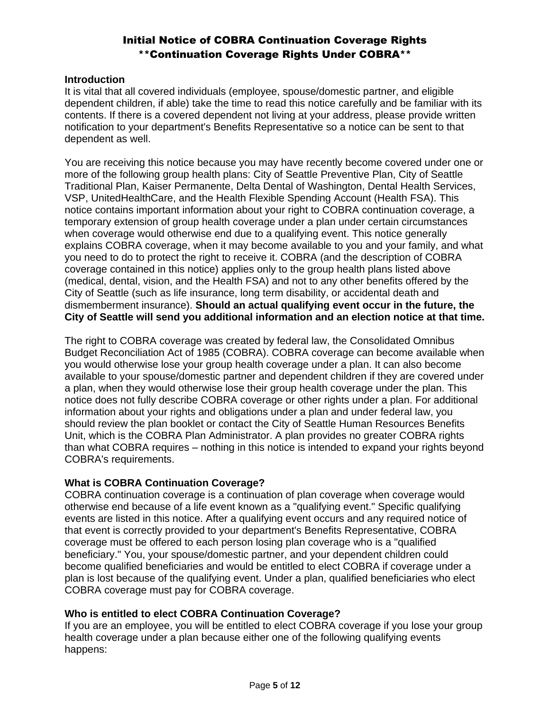# Initial Notice of COBRA Continuation Coverage Rights \*\*Continuation Coverage Rights Under COBRA\*\*

#### **Introduction**

It is vital that all covered individuals (employee, spouse/domestic partner, and eligible dependent children, if able) take the time to read this notice carefully and be familiar with its contents. If there is a covered dependent not living at your address, please provide written notification to your department's Benefits Representative so a notice can be sent to that dependent as well.

You are receiving this notice because you may have recently become covered under one or more of the following group health plans: City of Seattle Preventive Plan, City of Seattle Traditional Plan, Kaiser Permanente, Delta Dental of Washington, Dental Health Services, VSP, UnitedHealthCare, and the Health Flexible Spending Account (Health FSA). This notice contains important information about your right to COBRA continuation coverage, a temporary extension of group health coverage under a plan under certain circumstances when coverage would otherwise end due to a qualifying event. This notice generally explains COBRA coverage, when it may become available to you and your family, and what you need to do to protect the right to receive it. COBRA (and the description of COBRA coverage contained in this notice) applies only to the group health plans listed above (medical, dental, vision, and the Health FSA) and not to any other benefits offered by the City of Seattle (such as life insurance, long term disability, or accidental death and dismemberment insurance). **Should an actual qualifying event occur in the future, the City of Seattle will send you additional information and an election notice at that time.**

The right to COBRA coverage was created by federal law, the Consolidated Omnibus Budget Reconciliation Act of 1985 (COBRA). COBRA coverage can become available when you would otherwise lose your group health coverage under a plan. It can also become available to your spouse/domestic partner and dependent children if they are covered under a plan, when they would otherwise lose their group health coverage under the plan. This notice does not fully describe COBRA coverage or other rights under a plan. For additional information about your rights and obligations under a plan and under federal law, you should review the plan booklet or contact the City of Seattle Human Resources Benefits Unit, which is the COBRA Plan Administrator. A plan provides no greater COBRA rights than what COBRA requires – nothing in this notice is intended to expand your rights beyond COBRA's requirements.

#### **What is COBRA Continuation Coverage?**

COBRA continuation coverage is a continuation of plan coverage when coverage would otherwise end because of a life event known as a "qualifying event." Specific qualifying events are listed in this notice. After a qualifying event occurs and any required notice of that event is correctly provided to your department's Benefits Representative, COBRA coverage must be offered to each person losing plan coverage who is a "qualified beneficiary." You, your spouse/domestic partner, and your dependent children could become qualified beneficiaries and would be entitled to elect COBRA if coverage under a plan is lost because of the qualifying event. Under a plan, qualified beneficiaries who elect COBRA coverage must pay for COBRA coverage.

# **Who is entitled to elect COBRA Continuation Coverage?**

If you are an employee, you will be entitled to elect COBRA coverage if you lose your group health coverage under a plan because either one of the following qualifying events happens: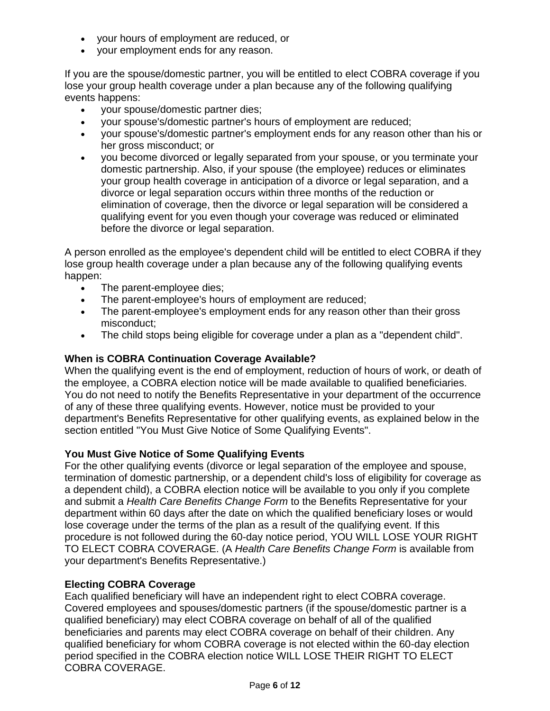- your hours of employment are reduced, or
- your employment ends for any reason.

If you are the spouse/domestic partner, you will be entitled to elect COBRA coverage if you lose your group health coverage under a plan because any of the following qualifying events happens:

- your spouse/domestic partner dies;
- your spouse's/domestic partner's hours of employment are reduced;
- your spouse's/domestic partner's employment ends for any reason other than his or her gross misconduct; or
- you become divorced or legally separated from your spouse, or you terminate your domestic partnership. Also, if your spouse (the employee) reduces or eliminates your group health coverage in anticipation of a divorce or legal separation, and a divorce or legal separation occurs within three months of the reduction or elimination of coverage, then the divorce or legal separation will be considered a qualifying event for you even though your coverage was reduced or eliminated before the divorce or legal separation.

A person enrolled as the employee's dependent child will be entitled to elect COBRA if they lose group health coverage under a plan because any of the following qualifying events happen:

- The parent-employee dies;
- The parent-employee's hours of employment are reduced;
- The parent-employee's employment ends for any reason other than their gross misconduct;
- The child stops being eligible for coverage under a plan as a "dependent child".

#### **When is COBRA Continuation Coverage Available?**

When the qualifying event is the end of employment, reduction of hours of work, or death of the employee, a COBRA election notice will be made available to qualified beneficiaries. You do not need to notify the Benefits Representative in your department of the occurrence of any of these three qualifying events. However, notice must be provided to your department's Benefits Representative for other qualifying events, as explained below in the section entitled "You Must Give Notice of Some Qualifying Events".

#### **You Must Give Notice of Some Qualifying Events**

For the other qualifying events (divorce or legal separation of the employee and spouse, termination of domestic partnership, or a dependent child's loss of eligibility for coverage as a dependent child), a COBRA election notice will be available to you only if you complete and submit a *Health Care Benefits Change Form* to the Benefits Representative for your department within 60 days after the date on which the qualified beneficiary loses or would lose coverage under the terms of the plan as a result of the qualifying event. If this procedure is not followed during the 60-day notice period, YOU WILL LOSE YOUR RIGHT TO ELECT COBRA COVERAGE. (A *Health Care Benefits Change Form* is available from your department's Benefits Representative.)

#### **Electing COBRA Coverage**

Each qualified beneficiary will have an independent right to elect COBRA coverage. Covered employees and spouses/domestic partners (if the spouse/domestic partner is a qualified beneficiary) may elect COBRA coverage on behalf of all of the qualified beneficiaries and parents may elect COBRA coverage on behalf of their children. Any qualified beneficiary for whom COBRA coverage is not elected within the 60-day election period specified in the COBRA election notice WILL LOSE THEIR RIGHT TO ELECT COBRA COVERAGE.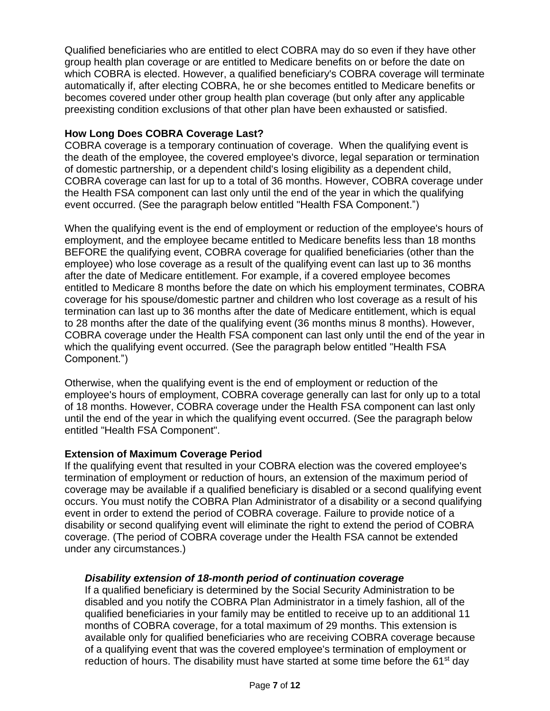Qualified beneficiaries who are entitled to elect COBRA may do so even if they have other group health plan coverage or are entitled to Medicare benefits on or before the date on which COBRA is elected. However, a qualified beneficiary's COBRA coverage will terminate automatically if, after electing COBRA, he or she becomes entitled to Medicare benefits or becomes covered under other group health plan coverage (but only after any applicable preexisting condition exclusions of that other plan have been exhausted or satisfied.

# **How Long Does COBRA Coverage Last?**

COBRA coverage is a temporary continuation of coverage. When the qualifying event is the death of the employee, the covered employee's divorce, legal separation or termination of domestic partnership, or a dependent child's losing eligibility as a dependent child, COBRA coverage can last for up to a total of 36 months. However, COBRA coverage under the Health FSA component can last only until the end of the year in which the qualifying event occurred. (See the paragraph below entitled "Health FSA Component.")

When the qualifying event is the end of employment or reduction of the employee's hours of employment, and the employee became entitled to Medicare benefits less than 18 months BEFORE the qualifying event, COBRA coverage for qualified beneficiaries (other than the employee) who lose coverage as a result of the qualifying event can last up to 36 months after the date of Medicare entitlement. For example, if a covered employee becomes entitled to Medicare 8 months before the date on which his employment terminates, COBRA coverage for his spouse/domestic partner and children who lost coverage as a result of his termination can last up to 36 months after the date of Medicare entitlement, which is equal to 28 months after the date of the qualifying event (36 months minus 8 months). However, COBRA coverage under the Health FSA component can last only until the end of the year in which the qualifying event occurred. (See the paragraph below entitled "Health FSA Component.")

Otherwise, when the qualifying event is the end of employment or reduction of the employee's hours of employment, COBRA coverage generally can last for only up to a total of 18 months. However, COBRA coverage under the Health FSA component can last only until the end of the year in which the qualifying event occurred. (See the paragraph below entitled "Health FSA Component".

# **Extension of Maximum Coverage Period**

If the qualifying event that resulted in your COBRA election was the covered employee's termination of employment or reduction of hours, an extension of the maximum period of coverage may be available if a qualified beneficiary is disabled or a second qualifying event occurs. You must notify the COBRA Plan Administrator of a disability or a second qualifying event in order to extend the period of COBRA coverage. Failure to provide notice of a disability or second qualifying event will eliminate the right to extend the period of COBRA coverage. (The period of COBRA coverage under the Health FSA cannot be extended under any circumstances.)

# *Disability extension of 18-month period of continuation coverage*

If a qualified beneficiary is determined by the Social Security Administration to be disabled and you notify the COBRA Plan Administrator in a timely fashion, all of the qualified beneficiaries in your family may be entitled to receive up to an additional 11 months of COBRA coverage, for a total maximum of 29 months. This extension is available only for qualified beneficiaries who are receiving COBRA coverage because of a qualifying event that was the covered employee's termination of employment or reduction of hours. The disability must have started at some time before the 61<sup>st</sup> day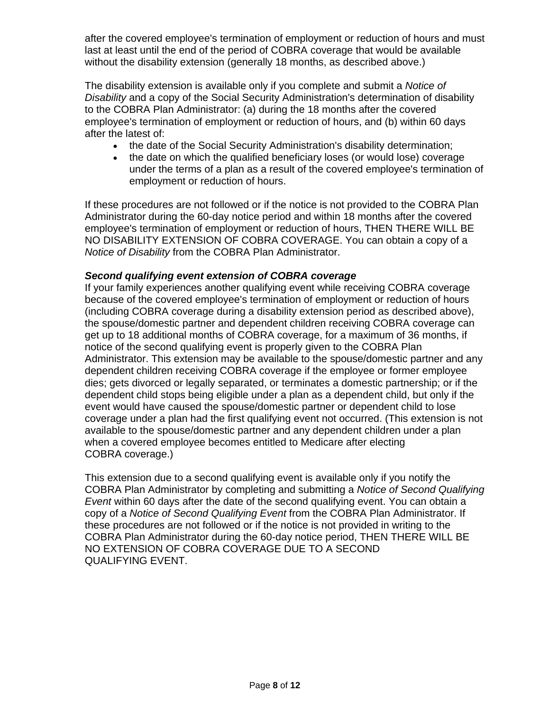after the covered employee's termination of employment or reduction of hours and must last at least until the end of the period of COBRA coverage that would be available without the disability extension (generally 18 months, as described above.)

The disability extension is available only if you complete and submit a *Notice of Disability* and a copy of the Social Security Administration's determination of disability to the COBRA Plan Administrator: (a) during the 18 months after the covered employee's termination of employment or reduction of hours, and (b) within 60 days after the latest of:

- the date of the Social Security Administration's disability determination;
- the date on which the qualified beneficiary loses (or would lose) coverage under the terms of a plan as a result of the covered employee's termination of employment or reduction of hours.

If these procedures are not followed or if the notice is not provided to the COBRA Plan Administrator during the 60-day notice period and within 18 months after the covered employee's termination of employment or reduction of hours, THEN THERE WILL BE NO DISABILITY EXTENSION OF COBRA COVERAGE. You can obtain a copy of a *Notice of Disability* from the COBRA Plan Administrator.

#### *Second qualifying event extension of COBRA coverage*

If your family experiences another qualifying event while receiving COBRA coverage because of the covered employee's termination of employment or reduction of hours (including COBRA coverage during a disability extension period as described above), the spouse/domestic partner and dependent children receiving COBRA coverage can get up to 18 additional months of COBRA coverage, for a maximum of 36 months, if notice of the second qualifying event is properly given to the COBRA Plan Administrator. This extension may be available to the spouse/domestic partner and any dependent children receiving COBRA coverage if the employee or former employee dies; gets divorced or legally separated, or terminates a domestic partnership; or if the dependent child stops being eligible under a plan as a dependent child, but only if the event would have caused the spouse/domestic partner or dependent child to lose coverage under a plan had the first qualifying event not occurred. (This extension is not available to the spouse/domestic partner and any dependent children under a plan when a covered employee becomes entitled to Medicare after electing COBRA coverage.)

This extension due to a second qualifying event is available only if you notify the COBRA Plan Administrator by completing and submitting a *Notice of Second Qualifying Event* within 60 days after the date of the second qualifying event. You can obtain a copy of a *Notice of Second Qualifying Event* from the COBRA Plan Administrator. If these procedures are not followed or if the notice is not provided in writing to the COBRA Plan Administrator during the 60-day notice period, THEN THERE WILL BE NO EXTENSION OF COBRA COVERAGE DUE TO A SECOND QUALIFYING EVENT.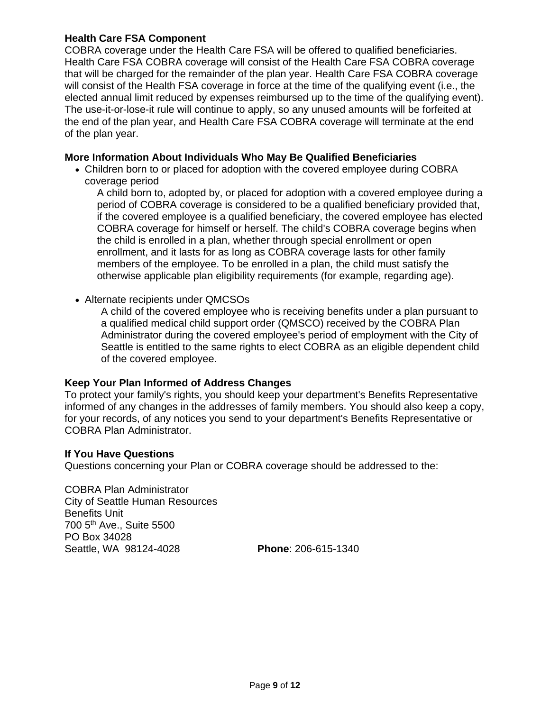#### **Health Care FSA Component**

COBRA coverage under the Health Care FSA will be offered to qualified beneficiaries. Health Care FSA COBRA coverage will consist of the Health Care FSA COBRA coverage that will be charged for the remainder of the plan year. Health Care FSA COBRA coverage will consist of the Health FSA coverage in force at the time of the qualifying event (i.e., the elected annual limit reduced by expenses reimbursed up to the time of the qualifying event). The use-it-or-lose-it rule will continue to apply, so any unused amounts will be forfeited at the end of the plan year, and Health Care FSA COBRA coverage will terminate at the end of the plan year.

#### **More Information About Individuals Who May Be Qualified Beneficiaries**

• Children born to or placed for adoption with the covered employee during COBRA coverage period

A child born to, adopted by, or placed for adoption with a covered employee during a period of COBRA coverage is considered to be a qualified beneficiary provided that, if the covered employee is a qualified beneficiary, the covered employee has elected COBRA coverage for himself or herself. The child's COBRA coverage begins when the child is enrolled in a plan, whether through special enrollment or open enrollment, and it lasts for as long as COBRA coverage lasts for other family members of the employee. To be enrolled in a plan, the child must satisfy the otherwise applicable plan eligibility requirements (for example, regarding age).

• Alternate recipients under QMCSOs

A child of the covered employee who is receiving benefits under a plan pursuant to a qualified medical child support order (QMSCO) received by the COBRA Plan Administrator during the covered employee's period of employment with the City of Seattle is entitled to the same rights to elect COBRA as an eligible dependent child of the covered employee.

# **Keep Your Plan Informed of Address Changes**

To protect your family's rights, you should keep your department's Benefits Representative informed of any changes in the addresses of family members. You should also keep a copy, for your records, of any notices you send to your department's Benefits Representative or COBRA Plan Administrator.

#### **If You Have Questions**

Questions concerning your Plan or COBRA coverage should be addressed to the:

COBRA Plan Administrator City of Seattle Human Resources Benefits Unit 700 5th Ave., Suite 5500 PO Box 34028 Seattle, WA 98124-4028 **Phone**: 206-615-1340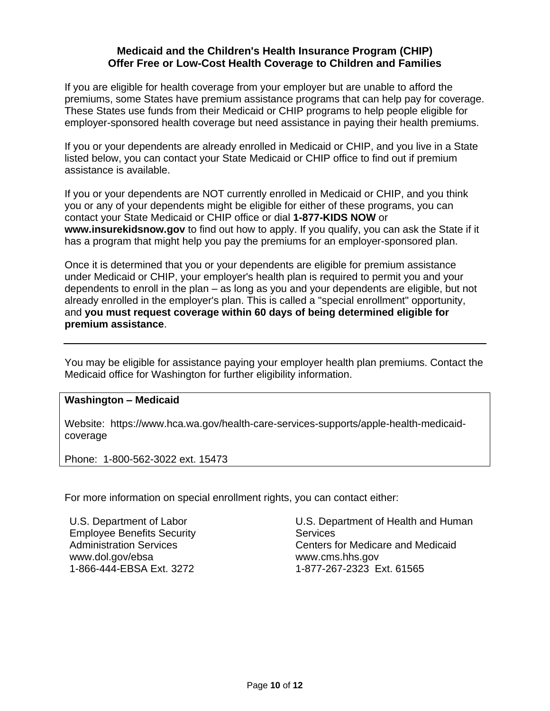# **Medicaid and the Children's Health Insurance Program (CHIP) Offer Free or Low-Cost Health Coverage to Children and Families**

If you are eligible for health coverage from your employer but are unable to afford the premiums, some States have premium assistance programs that can help pay for coverage. These States use funds from their Medicaid or CHIP programs to help people eligible for employer-sponsored health coverage but need assistance in paying their health premiums.

If you or your dependents are already enrolled in Medicaid or CHIP, and you live in a State listed below, you can contact your State Medicaid or CHIP office to find out if premium assistance is available.

If you or your dependents are NOT currently enrolled in Medicaid or CHIP, and you think you or any of your dependents might be eligible for either of these programs, you can contact your State Medicaid or CHIP office or dial **1-877-KIDS NOW** or **www.insurekidsnow.gov** to find out how to apply. If you qualify, you can ask the State if it has a program that might help you pay the premiums for an employer-sponsored plan.

Once it is determined that you or your dependents are eligible for premium assistance under Medicaid or CHIP, your employer's health plan is required to permit you and your dependents to enroll in the plan – as long as you and your dependents are eligible, but not already enrolled in the employer's plan. This is called a "special enrollment" opportunity, and **you must request coverage within 60 days of being determined eligible for premium assistance**.

You may be eligible for assistance paying your employer health plan premiums. Contact the Medicaid office for Washington for further eligibility information.

#### **Washington – Medicaid**

Website: https://www.hca.wa.gov/health-care-services-supports/apple-health-medicaidcoverage

Phone: 1-800-562-3022 ext. 15473

For more information on special enrollment rights, you can contact either:

U.S. Department of Labor Employee Benefits Security Administration Services www.dol.gov/ebsa 1-866-444-EBSA Ext. 3272

U.S. Department of Health and Human **Services** Centers for Medicare and Medicaid www.cms.hhs.gov 1-877-267-2323 Ext. 61565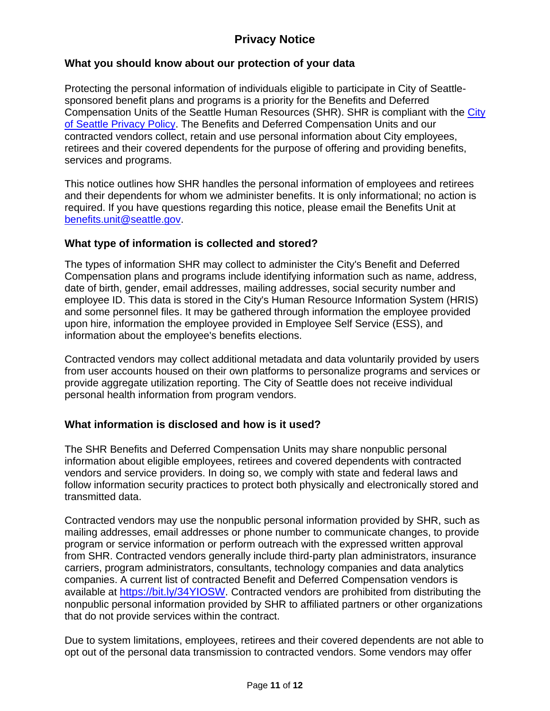# **Privacy Notice**

# **What you should know about our protection of your data**

Protecting the personal information of individuals eligible to participate in City of Seattlesponsored benefit plans and programs is a priority for the Benefits and Deferred Compensation Units of the Seattle Human Resources (SHR). SHR is compliant with the City [of Seattle Privacy Policy.](http://www.seattle.gov/tech/initiatives/privacy/about-the-privacy-program#purpose) The Benefits and Deferred Compensation Units and our contracted vendors collect, retain and use personal information about City employees, retirees and their covered dependents for the purpose of offering and providing benefits, services and programs.

This notice outlines how SHR handles the personal information of employees and retirees and their dependents for whom we administer benefits. It is only informational; no action is required. If you have questions regarding this notice, please email the Benefits Unit at [benefits.unit@seattle.gov.](mailto:benefits.unit@seattle.gov)

# **What type of information is collected and stored?**

The types of information SHR may collect to administer the City's Benefit and Deferred Compensation plans and programs include identifying information such as name, address, date of birth, gender, email addresses, mailing addresses, social security number and employee ID. This data is stored in the City's Human Resource Information System (HRIS) and some personnel files. It may be gathered through information the employee provided upon hire, information the employee provided in Employee Self Service (ESS), and information about the employee's benefits elections.

Contracted vendors may collect additional metadata and data voluntarily provided by users from user accounts housed on their own platforms to personalize programs and services or provide aggregate utilization reporting. The City of Seattle does not receive individual personal health information from program vendors.

# **What information is disclosed and how is it used?**

The SHR Benefits and Deferred Compensation Units may share nonpublic personal information about eligible employees, retirees and covered dependents with contracted vendors and service providers. In doing so, we comply with state and federal laws and follow information security practices to protect both physically and electronically stored and transmitted data.

Contracted vendors may use the nonpublic personal information provided by SHR, such as mailing addresses, email addresses or phone number to communicate changes, to provide program or service information or perform outreach with the expressed written approval from SHR. Contracted vendors generally include third-party plan administrators, insurance carriers, program administrators, consultants, technology companies and data analytics companies. A current list of contracted Benefit and Deferred Compensation vendors is available at [https://bit.ly/34YIOSW.](https://bit.ly/34YIOSW) Contracted vendors are prohibited from distributing the nonpublic personal information provided by SHR to affiliated partners or other organizations that do not provide services within the contract.

Due to system limitations, employees, retirees and their covered dependents are not able to opt out of the personal data transmission to contracted vendors. Some vendors may offer